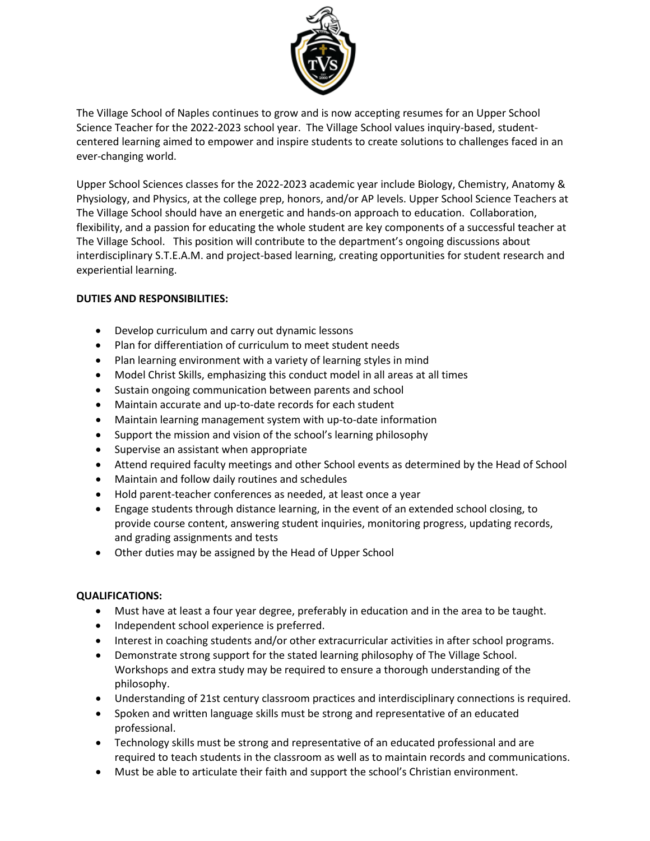

The Village School of Naples continues to grow and is now accepting resumes for an Upper School Science Teacher for the 2022-2023 school year. The Village School values inquiry-based, studentcentered learning aimed to empower and inspire students to create solutions to challenges faced in an ever-changing world.

Upper School Sciences classes for the 2022-2023 academic year include Biology, Chemistry, Anatomy & Physiology, and Physics, at the college prep, honors, and/or AP levels. Upper School Science Teachers at The Village School should have an energetic and hands-on approach to education. Collaboration, flexibility, and a passion for educating the whole student are key components of a successful teacher at The Village School. This position will contribute to the department's ongoing discussions about interdisciplinary S.T.E.A.M. and project-based learning, creating opportunities for student research and experiential learning.

# **DUTIES AND RESPONSIBILITIES:**

- Develop curriculum and carry out dynamic lessons
- Plan for differentiation of curriculum to meet student needs
- Plan learning environment with a variety of learning styles in mind
- Model Christ Skills, emphasizing this conduct model in all areas at all times
- Sustain ongoing communication between parents and school
- Maintain accurate and up-to-date records for each student
- Maintain learning management system with up-to-date information
- Support the mission and vision of the school's learning philosophy
- Supervise an assistant when appropriate
- Attend required faculty meetings and other School events as determined by the Head of School
- Maintain and follow daily routines and schedules
- Hold parent-teacher conferences as needed, at least once a year
- Engage students through distance learning, in the event of an extended school closing, to provide course content, answering student inquiries, monitoring progress, updating records, and grading assignments and tests
- Other duties may be assigned by the Head of Upper School

## **QUALIFICATIONS:**

- Must have at least a four year degree, preferably in education and in the area to be taught.
- Independent school experience is preferred.
- Interest in coaching students and/or other extracurricular activities in after school programs.
- Demonstrate strong support for the stated learning philosophy of The Village School. Workshops and extra study may be required to ensure a thorough understanding of the philosophy.
- Understanding of 21st century classroom practices and interdisciplinary connections is required.
- Spoken and written language skills must be strong and representative of an educated professional.
- Technology skills must be strong and representative of an educated professional and are required to teach students in the classroom as well as to maintain records and communications.
- Must be able to articulate their faith and support the school's Christian environment.